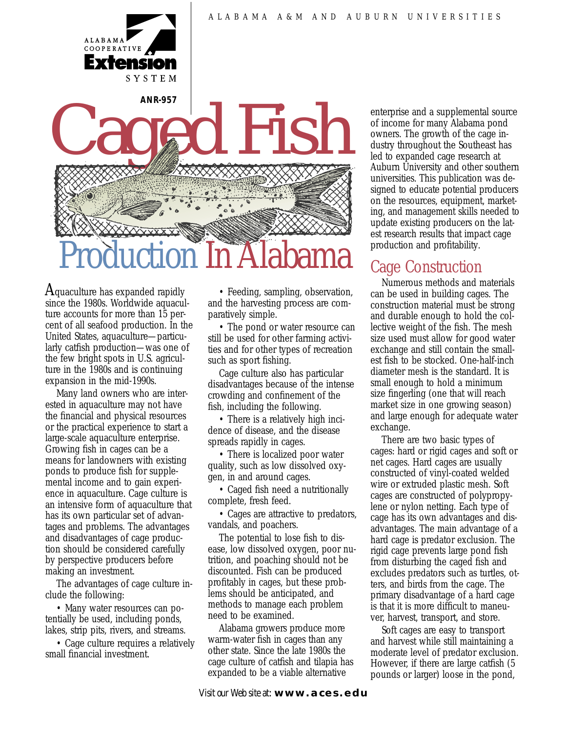



Aquaculture has expanded rapidly since the 1980s. Worldwide aquaculture accounts for more than 15 percent of all seafood production. In the United States, aquaculture—particularly catfish production—was one of the few bright spots in U.S. agriculture in the 1980s and is continuing expansion in the mid-1990s.

Many land owners who are interested in aquaculture may not have the financial and physical resources or the practical experience to start a large-scale aquaculture enterprise. Growing fish in cages can be a means for landowners with existing ponds to produce fish for supplemental income and to gain experience in aquaculture. Cage culture is an intensive form of aquaculture that has its own particular set of advantages and problems. The advantages and disadvantages of cage production should be considered carefully by perspective producers before making an investment.

The advantages of cage culture include the following:

• Many water resources can potentially be used, including ponds, lakes, strip pits, rivers, and streams.

• Cage culture requires a relatively small financial investment.

• Feeding, sampling, observation, and the harvesting process are comparatively simple.

• The pond or water resource can still be used for other farming activities and for other types of recreation such as sport fishing.

Cage culture also has particular disadvantages because of the intense crowding and confinement of the fish, including the following.

• There is a relatively high incidence of disease, and the disease spreads rapidly in cages.

• There is localized poor water quality, such as low dissolved oxygen, in and around cages.

• Caged fish need a nutritionally complete, fresh feed.

• Cages are attractive to predators, vandals, and poachers.

The potential to lose fish to disease, low dissolved oxygen, poor nutrition, and poaching should not be discounted. Fish can be produced profitably in cages, but these problems should be anticipated, and methods to manage each problem need to be examined.

Alabama growers produce more warm-water fish in cages than any other state. Since the late 1980s the cage culture of catfish and tilapia has expanded to be a viable alternative

enterprise and a supplemental source of income for many Alabama pond owners. The growth of the cage industry throughout the Southeast has led to expanded cage research at Auburn University and other southern universities. This publication was designed to educate potential producers on the resources, equipment, marketing, and management skills needed to update existing producers on the latest research results that impact cage production and profitability.

# Cage Construction

Numerous methods and materials can be used in building cages. The construction material must be strong and durable enough to hold the collective weight of the fish. The mesh size used must allow for good water exchange and still contain the smallest fish to be stocked. One-half-inch diameter mesh is the standard. It is small enough to hold a minimum size fingerling (one that will reach market size in one growing season) and large enough for adequate water exchange.

There are two basic types of cages: hard or rigid cages and soft or net cages. Hard cages are usually constructed of vinyl-coated welded wire or extruded plastic mesh. Soft cages are constructed of polypropylene or nylon netting. Each type of cage has its own advantages and disadvantages. The main advantage of a hard cage is predator exclusion. The rigid cage prevents large pond fish from disturbing the caged fish and excludes predators such as turtles, otters, and birds from the cage. The primary disadvantage of a hard cage is that it is more difficult to maneuver, harvest, transport, and store.

Soft cages are easy to transport and harvest while still maintaining a moderate level of predator exclusion. However, if there are large catfish (5 pounds or larger) loose in the pond,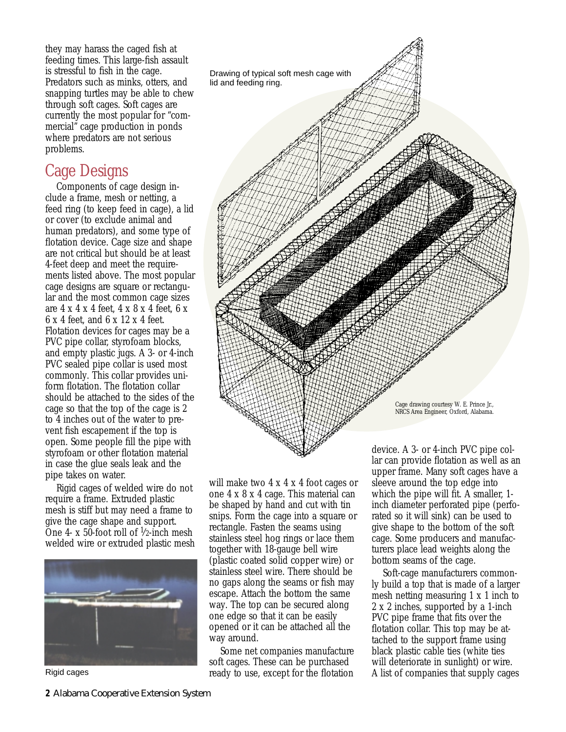they may harass the caged fish at feeding times. This large-fish assault is stressful to fish in the cage. Predators such as minks, otters, and snapping turtles may be able to chew through soft cages. Soft cages are currently the most popular for "commercial" cage production in ponds where predators are not serious problems.

# Cage Designs

Components of cage design include a frame, mesh or netting, a feed ring (to keep feed in cage), a lid or cover (to exclude animal and human predators), and some type of flotation device. Cage size and shape are not critical but should be at least 4-feet deep and meet the requirements listed above. The most popular cage designs are square or rectangular and the most common cage sizes are 4 x 4 x 4 feet, 4 x 8 x 4 feet, 6 x 6 x 4 feet, and 6 x 12 x 4 feet. Flotation devices for cages may be a PVC pipe collar, styrofoam blocks, and empty plastic jugs. A 3- or 4-inch PVC sealed pipe collar is used most commonly. This collar provides uniform flotation. The flotation collar should be attached to the sides of the cage so that the top of the cage is 2 to 4 inches out of the water to prevent fish escapement if the top is open. Some people fill the pipe with styrofoam or other flotation material in case the glue seals leak and the pipe takes on water.

Rigid cages of welded wire do not require a frame. Extruded plastic mesh is stiff but may need a frame to give the cage shape and support. One 4- x 50-foot roll of  $\frac{1}{2}$ -inch mesh welded wire or extruded plastic mesh





will make two  $4 \times 4 \times 4$  foot cages or one 4 x 8 x 4 cage. This material can be shaped by hand and cut with tin snips. Form the cage into a square or rectangle. Fasten the seams using stainless steel hog rings or lace them together with 18-gauge bell wire (plastic coated solid copper wire) or stainless steel wire. There should be no gaps along the seams or fish may escape. Attach the bottom the same way. The top can be secured along one edge so that it can be easily opened or it can be attached all the way around.

Some net companies manufacture soft cages. These can be purchased ready to use, except for the flotation device. A 3- or 4-inch PVC pipe collar can provide flotation as well as an upper frame. Many soft cages have a sleeve around the top edge into which the pipe will fit. A smaller, 1 inch diameter perforated pipe (perforated so it will sink) can be used to give shape to the bottom of the soft cage. Some producers and manufacturers place lead weights along the bottom seams of the cage.

Soft-cage manufacturers commonly build a top that is made of a larger mesh netting measuring 1 x 1 inch to 2 x 2 inches, supported by a 1-inch PVC pipe frame that fits over the flotation collar. This top may be attached to the support frame using black plastic cable ties (white ties will deteriorate in sunlight) or wire. Rigid cages  $\overline{\phantom{a}}$  ready to use, except for the flotation  $\overline{\phantom{a}}$  A list of companies that supply cages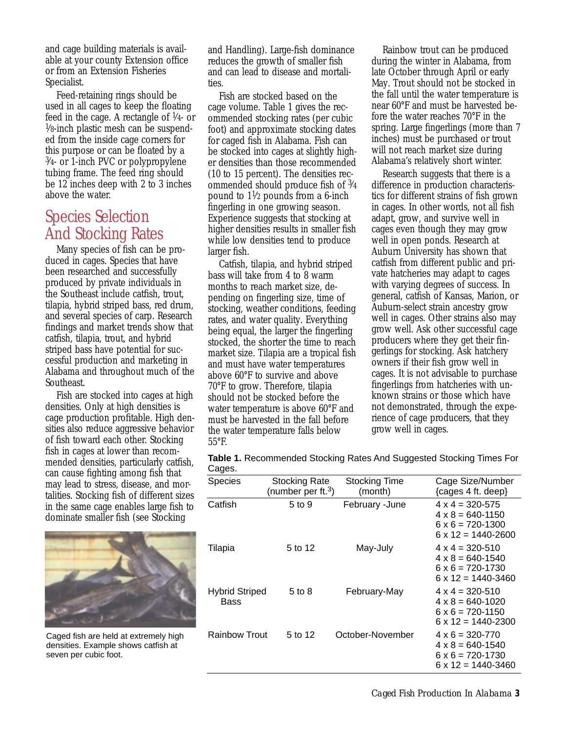and cage building materials is available at your county Extension office or from an Extension Fisheries Specialist.

Feed-retaining rings should be used in all cages to keep the floating feed in the cage. A rectangle of  $\frac{1}{4}$ - or  $\frac{1}{8}$ -inch plastic mesh can be suspended from the inside cage corners for this purpose or can be floated by a 3⁄4- or 1-inch PVC or polypropylene tubing frame. The feed ring should be 12 inches deep with 2 to 3 inches above the water.

## Species Selection And Stocking Rates

Many species of fish can be produced in cages. Species that have been researched and successfully produced by private individuals in the Southeast include catfish, trout, tilapia, hybrid striped bass, red drum, and several species of carp. Research findings and market trends show that catfish, tilapia, trout, and hybrid striped bass have potential for successful production and marketing in Alabama and throughout much of the Southeast.

Fish are stocked into cages at high densities. Only at high densities is cage production profitable. High densities also reduce aggressive behavior of fish toward each other. Stocking fish in cages at lower than recommended densities, particularly catfish, can cause fighting among fish that may lead to stress, disease, and mortalities. Stocking fish of different sizes in the same cage enables large fish to dominate smaller fish (see Stocking



Caged fish are held at extremely high densities. Example shows catfish at seven per cubic foot.

and Handling). Large-fish dominance reduces the growth of smaller fish and can lead to disease and mortalities.

Fish are stocked based on the cage volume. Table 1 gives the recommended stocking rates (per cubic foot) and approximate stocking dates for caged fish in Alabama. Fish can be stocked into cages at slightly higher densities than those recommended (10 to 15 percent). The densities recommended should produce fish of 3⁄4 pound to  $1\frac{1}{2}$  pounds from a 6-inch fingerling in one growing season. Experience suggests that stocking at higher densities results in smaller fish while low densities tend to produce larger fish.

Catfish, tilapia, and hybrid striped bass will take from 4 to 8 warm months to reach market size, depending on fingerling size, time of stocking, weather conditions, feeding rates, and water quality. Everything being equal, the larger the fingerling stocked, the shorter the time to reach market size. Tilapia are a tropical fish and must have water temperatures above 60°F to survive and above 70°F to grow. Therefore, tilapia should not be stocked before the water temperature is above 60°F and must be harvested in the fall before the water temperature falls below 55°F.

Rainbow trout can be produced during the winter in Alabama, from late October through April or early May. Trout should not be stocked in the fall until the water temperature is near 60°F and must be harvested before the water reaches 70°F in the spring. Large fingerlings (more than 7 inches) must be purchased or trout will not reach market size during Alabama's relatively short winter.

Research suggests that there is a difference in production characteristics for different strains of fish grown in cages. In other words, not all fish adapt, grow, and survive well in cages even though they may grow well in open ponds. Research at Auburn University has shown that catfish from different public and private hatcheries may adapt to cages with varying degrees of success. In general, catfish of Kansas, Marion, or Auburn-select strain ancestry grow well in cages. Other strains also may grow well. Ask other successful cage producers where they get their fingerlings for stocking. Ask hatchery owners if their fish grow well in cages. It is not advisable to purchase fingerlings from hatcheries with unknown strains or those which have not demonstrated, through the experience of cage producers, that they grow well in cages.

| Table 1. Recommended Stocking Rates And Suggested Stocking Times For |  |
|----------------------------------------------------------------------|--|
| Cages.                                                               |  |

| <b>Species</b>                | <b>Stocking Rate</b><br>(number per ft. <sup>3</sup> ) | <b>Stocking Time</b><br>(month) | Cage Size/Number<br>$\{cages 4 ft. deep\}$                                                                        |
|-------------------------------|--------------------------------------------------------|---------------------------------|-------------------------------------------------------------------------------------------------------------------|
| Catfish                       | 5 to 9                                                 | February -June                  | $4 \times 4 = 320 - 575$<br>$4 \times 8 = 640 - 1150$<br>$6 \times 6 = 720 - 1300$<br>$6 \times 12 = 1440 - 2600$ |
| Tilapia                       | 5 to 12                                                | May-July                        | $4 \times 4 = 320 - 510$<br>$4 \times 8 = 640 - 1540$<br>$6 \times 6 = 720 - 1730$<br>$6 \times 12 = 1440 - 3460$ |
| <b>Hybrid Striped</b><br>Bass | 5 to 8                                                 | February-May                    | $4 \times 4 = 320 - 510$<br>$4 \times 8 = 640 - 1020$<br>$6 \times 6 = 720 - 1150$<br>$6 \times 12 = 1440 - 2300$ |
| <b>Rainbow Trout</b>          | 5 to 12                                                | October-November                | $4 \times 6 = 320 - 770$<br>$4 \times 8 = 640 - 1540$<br>$6 \times 6 = 720 - 1730$<br>$6 \times 12 = 1440 - 3460$ |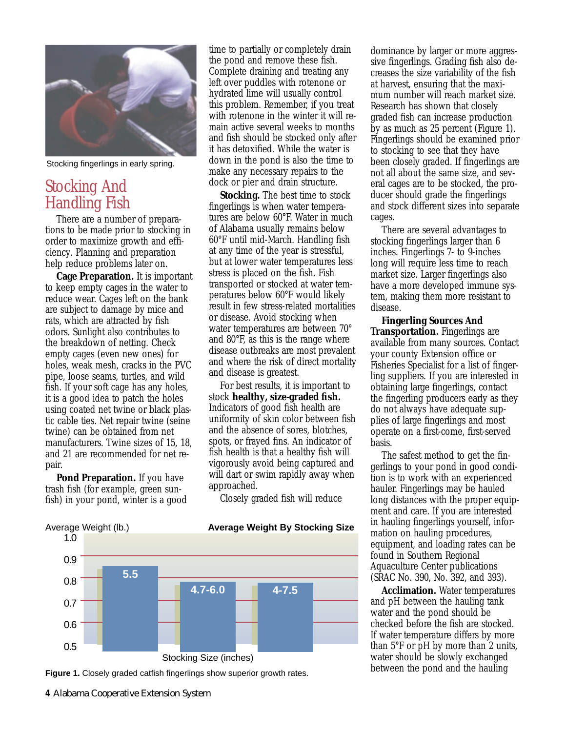

Stocking fingerlings in early spring.

# Stocking And Handling Fish

There are a number of preparations to be made prior to stocking in order to maximize growth and efficiency. Planning and preparation help reduce problems later on.

**Cage Preparation.** It is important to keep empty cages in the water to reduce wear. Cages left on the bank are subject to damage by mice and rats, which are attracted by fish odors. Sunlight also contributes to the breakdown of netting. Check empty cages (even new ones) for holes, weak mesh, cracks in the PVC pipe, loose seams, turtles, and wild fish. If your soft cage has any holes, it is a good idea to patch the holes using coated net twine or black plastic cable ties. Net repair twine (seine twine) can be obtained from net manufacturers. Twine sizes of 15, 18, and 21 are recommended for net repair.

**Pond Preparation.** If you have trash fish (for example, green sunfish) in your pond, winter is a good

time to partially or completely drain the pond and remove these fish. Complete draining and treating any left over puddles with rotenone or hydrated lime will usually control this problem. Remember, if you treat with rotenone in the winter it will remain active several weeks to months and fish should be stocked only after it has detoxified. While the water is down in the pond is also the time to make any necessary repairs to the dock or pier and drain structure.

**Stocking.** The best time to stock fingerlings is when water temperatures are below 60°F. Water in much of Alabama usually remains below 60°F until mid-March. Handling fish at any time of the year is stressful, but at lower water temperatures less stress is placed on the fish. Fish transported or stocked at water temperatures below 60°F would likely result in few stress-related mortalities or disease. Avoid stocking when water temperatures are between 70° and 80°F, as this is the range where disease outbreaks are most prevalent and where the risk of direct mortality and disease is greatest.

For best results, it is important to stock **healthy, size-graded fish.** Indicators of good fish health are uniformity of skin color between fish and the absence of sores, blotches, spots, or frayed fins. An indicator of fish health is that a healthy fish will vigorously avoid being captured and will dart or swim rapidly away when approached.

Closely graded fish will reduce



**Figure 1.** Closely graded catfish fingerlings show superior growth rates.

dominance by larger or more aggressive fingerlings. Grading fish also decreases the size variability of the fish at harvest, ensuring that the maximum number will reach market size. Research has shown that closely graded fish can increase production by as much as 25 percent (Figure 1). Fingerlings should be examined prior to stocking to see that they have been closely graded. If fingerlings are not all about the same size, and several cages are to be stocked, the producer should grade the fingerlings and stock different sizes into separate cages.

There are several advantages to stocking fingerlings larger than 6 inches. Fingerlings 7- to 9-inches long will require less time to reach market size. Larger fingerlings also have a more developed immune system, making them more resistant to disease.

**Fingerling Sources And Transportation.** Fingerlings are available from many sources. Contact your county Extension office or Fisheries Specialist for a list of fingerling suppliers. If you are interested in obtaining large fingerlings, contact the fingerling producers early as they do not always have adequate supplies of large fingerlings and most operate on a first-come, first-served basis.

The safest method to get the fingerlings to your pond in good condition is to work with an experienced hauler. Fingerlings may be hauled long distances with the proper equipment and care. If you are interested in hauling fingerlings yourself, information on hauling procedures, equipment, and loading rates can be found in Southern Regional Aquaculture Center publications (SRAC No. 390, No. 392, and 393).

**Acclimation.** Water temperatures and pH between the hauling tank water and the pond should be checked before the fish are stocked. If water temperature differs by more than 5°F or pH by more than 2 units, water should be slowly exchanged between the pond and the hauling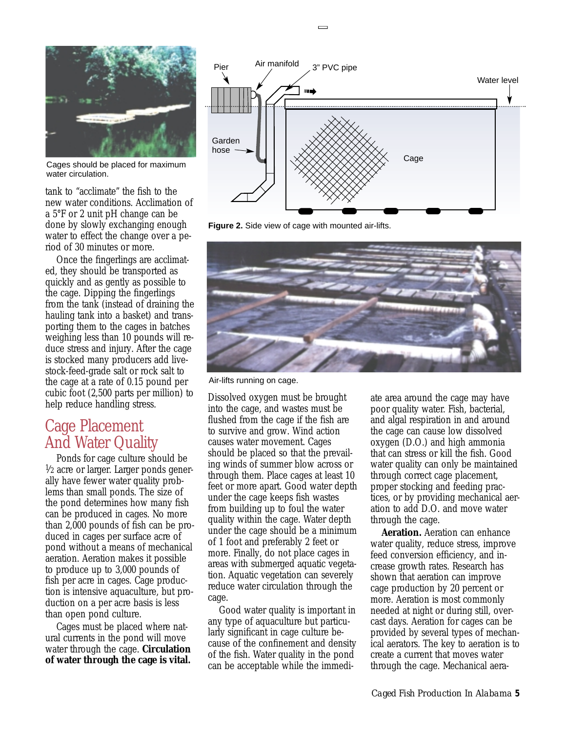

Cages should be placed for maximum water circulation.

tank to "acclimate" the fish to the new water conditions. Acclimation of a 5°F or 2 unit pH change can be done by slowly exchanging enough water to effect the change over a period of 30 minutes or more.

Once the fingerlings are acclimated, they should be transported as quickly and as gently as possible to the cage. Dipping the fingerlings from the tank (instead of draining the hauling tank into a basket) and transporting them to the cages in batches weighing less than 10 pounds will reduce stress and injury. After the cage is stocked many producers add livestock-feed-grade salt or rock salt to the cage at a rate of 0.15 pound per cubic foot (2,500 parts per million) to help reduce handling stress.

## Cage Placement And Water Quality

Ponds for cage culture should be  $\frac{1}{2}$  acre or larger. Larger ponds generally have fewer water quality problems than small ponds. The size of the pond determines how many fish can be produced in cages. No more than 2,000 pounds of fish can be produced in cages per surface acre of pond without a means of mechanical aeration. Aeration makes it possible to produce up to 3,000 pounds of fish per acre in cages. Cage production is intensive aquaculture, but production on a per acre basis is less than open pond culture.

Cages must be placed where natural currents in the pond will move water through the cage. **Circulation of water through the cage is vital.**





 $\equiv$ 



Air-lifts running on cage.

Dissolved oxygen must be brought into the cage, and wastes must be flushed from the cage if the fish are to survive and grow. Wind action causes water movement. Cages should be placed so that the prevailing winds of summer blow across or through them. Place cages at least 10 feet or more apart. Good water depth under the cage keeps fish wastes from building up to foul the water quality within the cage. Water depth under the cage should be a minimum of 1 foot and preferably 2 feet or more. Finally, do not place cages in areas with submerged aquatic vegetation. Aquatic vegetation can severely reduce water circulation through the cage.

Good water quality is important in any type of aquaculture but particularly significant in cage culture because of the confinement and density of the fish. Water quality in the pond can be acceptable while the immediate area around the cage may have poor quality water. Fish, bacterial, and algal respiration in and around the cage can cause low dissolved oxygen (D.O.) and high ammonia that can stress or kill the fish. Good water quality can only be maintained through correct cage placement, proper stocking and feeding practices, or by providing mechanical aeration to add D.O. and move water through the cage.

**Aeration.** Aeration can enhance water quality, reduce stress, improve feed conversion efficiency, and increase growth rates. Research has shown that aeration can improve cage production by 20 percent or more. Aeration is most commonly needed at night or during still, overcast days. Aeration for cages can be provided by several types of mechanical aerators. The key to aeration is to create a current that moves water through the cage. Mechanical aera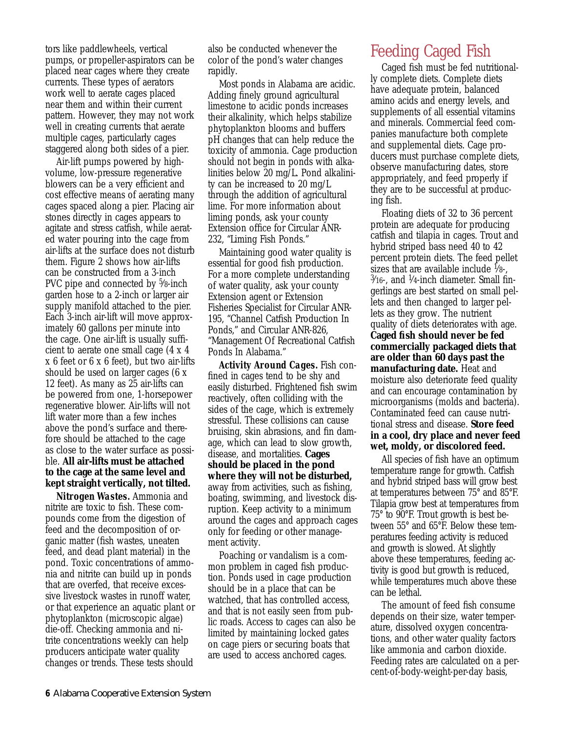tors like paddlewheels, vertical pumps, or propeller-aspirators can be placed near cages where they create currents. These types of aerators work well to aerate cages placed near them and within their current pattern. However, they may not work well in creating currents that aerate multiple cages, particularly cages staggered along both sides of a pier.

Air-lift pumps powered by highvolume, low-pressure regenerative blowers can be a very efficient and cost effective means of aerating many cages spaced along a pier. Placing air stones directly in cages appears to agitate and stress catfish, while aerated water pouring into the cage from air-lifts at the surface does not disturb them. Figure 2 shows how air-lifts can be constructed from a 3-inch PVC pipe and connected by <sup>5</sup>/8-inch garden hose to a 2-inch or larger air supply manifold attached to the pier. Each 3-inch air-lift will move approximately 60 gallons per minute into the cage. One air-lift is usually sufficient to aerate one small cage (4 x 4 x 6 feet or 6 x 6 feet), but two air-lifts should be used on larger cages (6 x 12 feet). As many as 25 air-lifts can be powered from one, 1-horsepower regenerative blower. Air-lifts will not lift water more than a few inches above the pond's surface and therefore should be attached to the cage as close to the water surface as possible. **All air-lifts must be attached to the cage at the same level and kept straight vertically, not tilted.**

*Nitrogen Wastes.* Ammonia and nitrite are toxic to fish. These compounds come from the digestion of feed and the decomposition of organic matter (fish wastes, uneaten feed, and dead plant material) in the pond. Toxic concentrations of ammonia and nitrite can build up in ponds that are overfed, that receive excessive livestock wastes in runoff water, or that experience an aquatic plant or phytoplankton (microscopic algae) die-off. Checking ammonia and nitrite concentrations weekly can help producers anticipate water quality changes or trends. These tests should

also be conducted whenever the color of the pond's water changes rapidly.

Most ponds in Alabama are acidic. Adding finely ground agricultural limestone to acidic ponds increases their alkalinity, which helps stabilize phytoplankton blooms and buffers pH changes that can help reduce the toxicity of ammonia. Cage production should not begin in ponds with alkalinities below 20 mg/L. Pond alkalinity can be increased to 20 mg/L through the addition of agricultural lime. For more information about liming ponds, ask your county Extension office for Circular ANR-232, "Liming Fish Ponds."

Maintaining good water quality is essential for good fish production. For a more complete understanding of water quality, ask your county Extension agent or Extension Fisheries Specialist for Circular ANR-195, "Channel Catfish Production In Ponds," and Circular ANR-826, "Management Of Recreational Catfish Ponds In Alabama."

*Activity Around Cages.* Fish confined in cages tend to be shy and easily disturbed. Frightened fish swim reactively, often colliding with the sides of the cage, which is extremely stressful. These collisions can cause bruising, skin abrasions, and fin damage, which can lead to slow growth, disease, and mortalities. **Cages should be placed in the pond where they will not be disturbed,** away from activities, such as fishing, boating, swimming, and livestock disruption. Keep activity to a minimum around the cages and approach cages only for feeding or other management activity.

Poaching or vandalism is a common problem in caged fish production. Ponds used in cage production should be in a place that can be watched, that has controlled access, and that is not easily seen from public roads. Access to cages can also be limited by maintaining locked gates on cage piers or securing boats that are used to access anchored cages.

# Feeding Caged Fish

Caged fish must be fed nutritionally complete diets. Complete diets have adequate protein, balanced amino acids and energy levels, and supplements of all essential vitamins and minerals. Commercial feed companies manufacture both complete and supplemental diets. Cage producers must purchase complete diets, observe manufacturing dates, store appropriately, and feed properly if they are to be successful at producing fish.

Floating diets of 32 to 36 percent protein are adequate for producing catfish and tilapia in cages. Trout and hybrid striped bass need 40 to 42 percent protein diets. The feed pellet sizes that are available include  $\frac{1}{8}$ .  $\frac{3}{16}$ -, and  $\frac{1}{4}$ -inch diameter. Small fingerlings are best started on small pellets and then changed to larger pellets as they grow. The nutrient quality of diets deteriorates with age. **Caged fish should never be fed commercially packaged diets that are older than 60 days past the manufacturing date.** Heat and moisture also deteriorate feed quality and can encourage contamination by microorganisms (molds and bacteria). Contaminated feed can cause nutritional stress and disease. **Store feed in a cool, dry place and never feed wet, moldy, or discolored feed.**

All species of fish have an optimum temperature range for growth. Catfish and hybrid striped bass will grow best at temperatures between 75° and 85°F. Tilapia grow best at temperatures from 75° to 90°F. Trout growth is best between 55° and 65°F. Below these temperatures feeding activity is reduced and growth is slowed. At slightly above these temperatures, feeding activity is good but growth is reduced, while temperatures much above these can be lethal.

The amount of feed fish consume depends on their size, water temperature, dissolved oxygen concentrations, and other water quality factors like ammonia and carbon dioxide. Feeding rates are calculated on a percent-of-body-weight-per-day basis,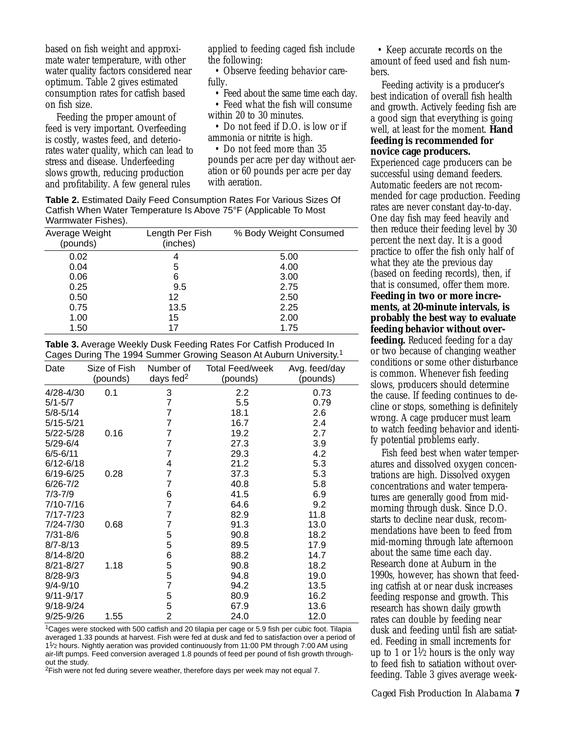based on fish weight and approximate water temperature, with other water quality factors considered near optimum. Table 2 gives estimated consumption rates for catfish based on fish size.

Feeding the proper amount of feed is very important. Overfeeding is costly, wastes feed, and deteriorates water quality, which can lead to stress and disease. Underfeeding slows growth, reducing production and profitability. A few general rules

applied to feeding caged fish include the following:

• Observe feeding behavior carefully.

• Feed about the same time each day. • Feed what the fish will consume

within 20 to 30 minutes. • Do not feed if D.O. is low or if

ammonia or nitrite is high.

• Do not feed more than 35 pounds per acre per day without aeration or 60 pounds per acre per day with aeration.

**Table 2.** Estimated Daily Feed Consumption Rates For Various Sizes Of Catfish When Water Temperature Is Above 75°F (Applicable To Most Warmwater Fishes).

| Average Weight<br>(pounds) | Length Per Fish<br>(inches) | % Body Weight Consumed |
|----------------------------|-----------------------------|------------------------|
| 0.02                       | 4                           | 5.00                   |
| 0.04                       | 5                           | 4.00                   |
| 0.06                       | 6                           | 3.00                   |
| 0.25                       | 9.5                         | 2.75                   |
| 0.50                       | 12                          | 2.50                   |
| 0.75                       | 13.5                        | 2.25                   |
| 1.00                       | 15                          | 2.00                   |
| 1.50                       | 17                          | 1.75                   |

**Table 3.** Average Weekly Dusk Feeding Rates For Catfish Produced In Cages During The 1994 Summer Growing Season At Auburn University.1

| Date          | Size of Fish<br>(pounds) | Number of<br>days fed $2$ | <b>Total Feed/week</b><br>(pounds) | Avg. feed/day<br>(pounds) |
|---------------|--------------------------|---------------------------|------------------------------------|---------------------------|
| 4/28-4/30     | 0.1                      | 3                         | 2.2                                | 0.73                      |
| $5/1 - 5/7$   |                          | $\overline{7}$            | 5.5                                | 0.79                      |
| $5/8 - 5/14$  |                          | 7                         | 18.1                               | 2.6                       |
| $5/15 - 5/21$ |                          | 7                         | 16.7                               | 2.4                       |
| 5/22-5/28     | 0.16                     | $\overline{7}$            | 19.2                               | 2.7                       |
| $5/29 - 6/4$  |                          | 7                         | 27.3                               | 3.9                       |
| $6/5 - 6/11$  |                          | 7                         | 29.3                               | 4.2                       |
| $6/12 - 6/18$ |                          | 4                         | 21.2                               | 5.3                       |
| $6/19 - 6/25$ | 0.28                     | 7                         | 37.3                               | 5.3                       |
| $6/26 - 7/2$  |                          | 7                         | 40.8                               | 5.8                       |
| $7/3 - 7/9$   |                          | 6                         | 41.5                               | 6.9                       |
| 7/10-7/16     |                          | 7                         | 64.6                               | 9.2                       |
| 7/17-7/23     |                          | 7                         | 82.9                               | 11.8                      |
| 7/24-7/30     | 0.68                     | 7                         | 91.3                               | 13.0                      |
| 7/31-8/6      |                          | 5                         | 90.8                               | 18.2                      |
| $8/7 - 8/13$  |                          | 5                         | 89.5                               | 17.9                      |
| $8/14 - 8/20$ |                          | 6                         | 88.2                               | 14.7                      |
| $8/21 - 8/27$ | 1.18                     | 5                         | 90.8                               | 18.2                      |
| $8/28 - 9/3$  |                          | 5                         | 94.8                               | 19.0                      |
| $9/4 - 9/10$  |                          | $\overline{7}$            | 94.2                               | 13.5                      |
| $9/11 - 9/17$ |                          | 5                         | 80.9                               | 16.2                      |
| 9/18-9/24     |                          | $\frac{5}{2}$             | 67.9                               | 13.6                      |
| 9/25-9/26     | 1.55                     |                           | 24.0                               | 12.0                      |

1Cages were stocked with 500 catfish and 20 tilapia per cage or 5.9 fish per cubic foot. Tilapia averaged 1.33 pounds at harvest. Fish were fed at dusk and fed to satisfaction over a period of 11⁄2 hours. Nightly aeration was provided continuously from 11:00 PM through 7:00 AM using air-lift pumps. Feed conversion averaged 1.8 pounds of feed per pound of fish growth throughout the study.

<sup>2</sup>Fish were not fed during severe weather, therefore days per week may not equal 7.

• Keep accurate records on the amount of feed used and fish numbers.

Feeding activity is a producer's best indication of overall fish health and growth. Actively feeding fish are a good sign that everything is going well, at least for the moment. **Hand feeding is recommended for novice cage producers.**

Experienced cage producers can be successful using demand feeders. Automatic feeders are not recommended for cage production. Feeding rates are never constant day-to-day. One day fish may feed heavily and then reduce their feeding level by 30 percent the next day. It is a good practice to offer the fish only half of what they ate the previous day (based on feeding records), then, if that is consumed, offer them more. **Feeding in two or more increments, at 20-minute intervals, is probably the best way to evaluate feeding behavior without overfeeding.** Reduced feeding for a day or two because of changing weather conditions or some other disturbance is common. Whenever fish feeding slows, producers should determine the cause. If feeding continues to decline or stops, something is definitely wrong. A cage producer must learn to watch feeding behavior and identify potential problems early.

Fish feed best when water temperatures and dissolved oxygen concentrations are high. Dissolved oxygen concentrations and water temperatures are generally good from midmorning through dusk. Since D.O. starts to decline near dusk, recommendations have been to feed from mid-morning through late afternoon about the same time each day. Research done at Auburn in the 1990s, however, has shown that feeding catfish at or near dusk increases feeding response and growth. This research has shown daily growth rates can double by feeding near dusk and feeding until fish are satiated. Feeding in small increments for up to 1 or  $1\frac{1}{2}$  hours is the only way to feed fish to satiation without overfeeding. Table 3 gives average week-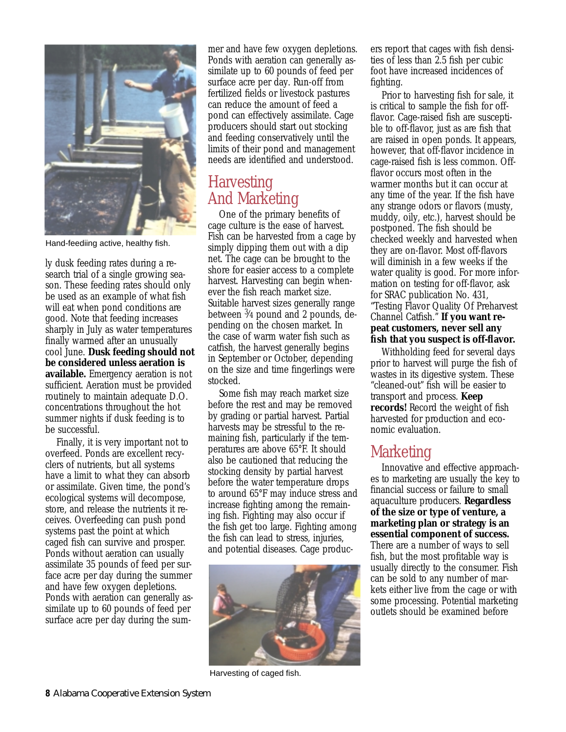

Hand-feediing active, healthy fish.

ly dusk feeding rates during a research trial of a single growing season. These feeding rates should only be used as an example of what fish will eat when pond conditions are good. Note that feeding increases sharply in July as water temperatures finally warmed after an unusually cool June. **Dusk feeding should not be considered unless aeration is available.** Emergency aeration is not sufficient. Aeration must be provided routinely to maintain adequate D.O. concentrations throughout the hot summer nights if dusk feeding is to be successful.

Finally, it is very important not to overfeed. Ponds are excellent recyclers of nutrients, but all systems have a limit to what they can absorb or assimilate. Given time, the pond's ecological systems will decompose, store, and release the nutrients it receives. Overfeeding can push pond systems past the point at which caged fish can survive and prosper. Ponds without aeration can usually assimilate 35 pounds of feed per surface acre per day during the summer and have few oxygen depletions. Ponds with aeration can generally assimilate up to 60 pounds of feed per surface acre per day during the summer and have few oxygen depletions. Ponds with aeration can generally assimilate up to 60 pounds of feed per surface acre per day. Run-off from fertilized fields or livestock pastures can reduce the amount of feed a pond can effectively assimilate. Cage producers should start out stocking and feeding conservatively until the limits of their pond and management needs are identified and understood.

# **Harvesting** And Marketing

One of the primary benefits of cage culture is the ease of harvest. Fish can be harvested from a cage by simply dipping them out with a dip net. The cage can be brought to the shore for easier access to a complete harvest. Harvesting can begin whenever the fish reach market size. Suitable harvest sizes generally range between 3⁄4 pound and 2 pounds, depending on the chosen market. In the case of warm water fish such as catfish, the harvest generally begins in September or October, depending on the size and time fingerlings were stocked.

Some fish may reach market size before the rest and may be removed by grading or partial harvest. Partial harvests may be stressful to the remaining fish, particularly if the temperatures are above 65°F. It should also be cautioned that reducing the stocking density by partial harvest before the water temperature drops to around 65°F may induce stress and increase fighting among the remaining fish. Fighting may also occur if the fish get too large. Fighting among the fish can lead to stress, injuries, and potential diseases. Cage produc-



Harvesting of caged fish.

ers report that cages with fish densities of less than 2.5 fish per cubic foot have increased incidences of fighting.

Prior to harvesting fish for sale, it is critical to sample the fish for offflavor. Cage-raised fish are susceptible to off-flavor, just as are fish that are raised in open ponds. It appears, however, that off-flavor incidence in cage-raised fish is less common. Offflavor occurs most often in the warmer months but it can occur at any time of the year. If the fish have any strange odors or flavors (musty, muddy, oily, etc.), harvest should be postponed. The fish should be checked weekly and harvested when they are on-flavor. Most off-flavors will diminish in a few weeks if the water quality is good. For more information on testing for off-flavor, ask for SRAC publication No. 431, "Testing Flavor Quality Of Preharvest Channel Catfish." **If you want repeat customers, never sell any fish that you suspect is off-flavor.**

Withholding feed for several days prior to harvest will purge the fish of wastes in its digestive system. These "cleaned-out" fish will be easier to transport and process. **Keep records!** Record the weight of fish harvested for production and economic evaluation.

### Marketing

Innovative and effective approaches to marketing are usually the key to financial success or failure to small aquaculture producers. **Regardless of the size or type of venture, a marketing plan or strategy is an essential component of success.** There are a number of ways to sell fish, but the most profitable way is usually directly to the consumer. Fish can be sold to any number of markets either live from the cage or with some processing. Potential marketing outlets should be examined before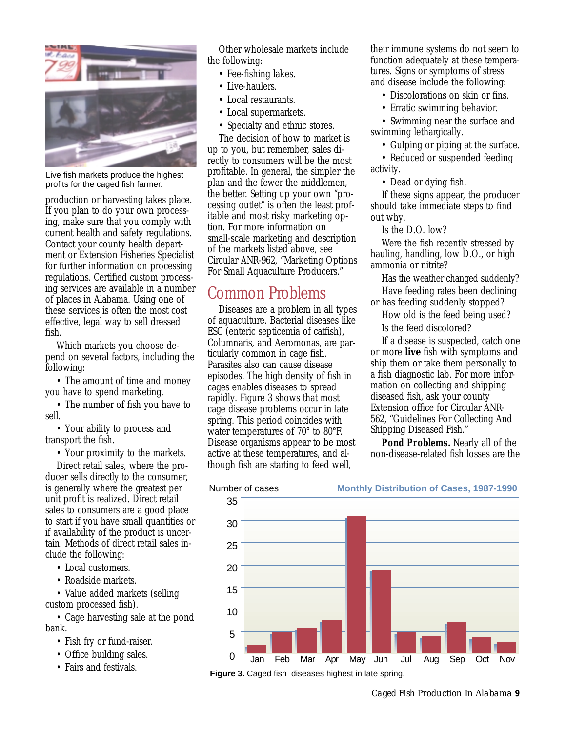

Live fish markets produce the highest profits for the caged fish farmer.

production or harvesting takes place. If you plan to do your own processing, make sure that you comply with current health and safety regulations. Contact your county health department or Extension Fisheries Specialist for further information on processing regulations. Certified custom processing services are available in a number of places in Alabama. Using one of these services is often the most cost effective, legal way to sell dressed fish.

Which markets you choose depend on several factors, including the following:

• The amount of time and money you have to spend marketing.

• The number of fish you have to sell.

• Your ability to process and transport the fish.

• Your proximity to the markets.

Direct retail sales, where the producer sells directly to the consumer, is generally where the greatest per unit profit is realized. Direct retail sales to consumers are a good place to start if you have small quantities or if availability of the product is uncertain. Methods of direct retail sales include the following:

- Local customers.
- Roadside markets.

• Value added markets (selling custom processed fish).

• Cage harvesting sale at the pond bank.

- Fish fry or fund-raiser.
- Office building sales.
- Fairs and festivals.

Other wholesale markets include the following:

- Fee-fishing lakes.
- Live-haulers.
- Local restaurants.
- Local supermarkets.
- Specialty and ethnic stores.

The decision of how to market is up to you, but remember, sales directly to consumers will be the most profitable. In general, the simpler the plan and the fewer the middlemen, the better. Setting up your own "processing outlet" is often the least profitable and most risky marketing option. For more information on small-scale marketing and description of the markets listed above, see Circular ANR-962, "Marketing Options For Small Aquaculture Producers."

# Common Problems

Diseases are a problem in all types of aquaculture. Bacterial diseases like ESC (enteric septicemia of catfish), Columnaris, and Aeromonas, are particularly common in cage fish. Parasites also can cause disease episodes. The high density of fish in cages enables diseases to spread rapidly. Figure 3 shows that most cage disease problems occur in late spring. This period coincides with water temperatures of 70° to 80°F. Disease organisms appear to be most active at these temperatures, and although fish are starting to feed well,

their immune systems do not seem to function adequately at these temperatures. Signs or symptoms of stress and disease include the following:

- Discolorations on skin or fins.
- Erratic swimming behavior.

• Swimming near the surface and swimming lethargically.

• Gulping or piping at the surface.

• Reduced or suspended feeding activity.

• Dead or dying fish.

If these signs appear, the producer should take immediate steps to find out why.

Is the D.O. low?

Were the fish recently stressed by hauling, handling, low D.O., or high ammonia or nitrite?

Has the weather changed suddenly?

Have feeding rates been declining or has feeding suddenly stopped?

How old is the feed being used? Is the feed discolored?

If a disease is suspected, catch one or more **live** fish with symptoms and ship them or take them personally to a fish diagnostic lab. For more information on collecting and shipping diseased fish, ask your county Extension office for Circular ANR-562, "Guidelines For Collecting And Shipping Diseased Fish."

*Pond Problems.* Nearly all of the non-disease-related fish losses are the



**Figure 3.** Caged fish diseases highest in late spring.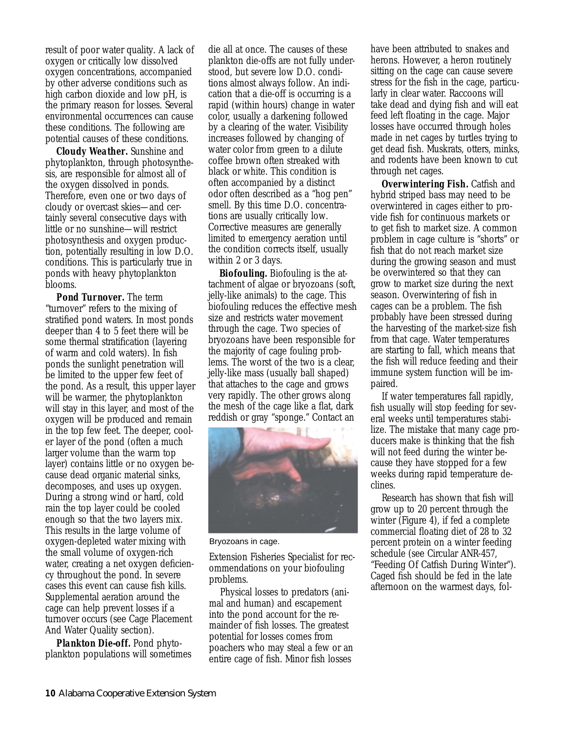result of poor water quality. A lack of oxygen or critically low dissolved oxygen concentrations, accompanied by other adverse conditions such as high carbon dioxide and low pH, is the primary reason for losses. Several environmental occurrences can cause these conditions. The following are potential causes of these conditions.

*Cloudy Weather.* Sunshine and phytoplankton, through photosynthesis, are responsible for almost all of the oxygen dissolved in ponds. Therefore, even one or two days of cloudy or overcast skies—and certainly several consecutive days with little or no sunshine—will restrict photosynthesis and oxygen production, potentially resulting in low D.O. conditions. This is particularly true in ponds with heavy phytoplankton blooms.

*Pond Turnover.* The term "turnover" refers to the mixing of stratified pond waters. In most ponds deeper than 4 to 5 feet there will be some thermal stratification (layering of warm and cold waters). In fish ponds the sunlight penetration will be limited to the upper few feet of the pond. As a result, this upper layer will be warmer, the phytoplankton will stay in this layer, and most of the oxygen will be produced and remain in the top few feet. The deeper, cooler layer of the pond (often a much larger volume than the warm top layer) contains little or no oxygen because dead organic material sinks, decomposes, and uses up oxygen. During a strong wind or hard, cold rain the top layer could be cooled enough so that the two layers mix. This results in the large volume of oxygen-depleted water mixing with the small volume of oxygen-rich water, creating a net oxygen deficiency throughout the pond. In severe cases this event can cause fish kills. Supplemental aeration around the cage can help prevent losses if a turnover occurs (see Cage Placement And Water Quality section).

*Plankton Die-off.* Pond phytoplankton populations will sometimes

die all at once. The causes of these plankton die-offs are not fully understood, but severe low D.O. conditions almost always follow. An indication that a die-off is occurring is a rapid (within hours) change in water color, usually a darkening followed by a clearing of the water. Visibility increases followed by changing of water color from green to a dilute coffee brown often streaked with black or white. This condition is often accompanied by a distinct odor often described as a "hog pen" smell. By this time D.O. concentrations are usually critically low. Corrective measures are generally limited to emergency aeration until the condition corrects itself, usually within 2 or 3 days.

*Biofouling.* Biofouling is the attachment of algae or bryozoans (soft, jelly-like animals) to the cage. This biofouling reduces the effective mesh size and restricts water movement through the cage. Two species of bryozoans have been responsible for the majority of cage fouling problems. The worst of the two is a clear, jelly-like mass (usually ball shaped) that attaches to the cage and grows very rapidly. The other grows along the mesh of the cage like a flat, dark reddish or gray "sponge." Contact an



Bryozoans in cage.

Extension Fisheries Specialist for recommendations on your biofouling problems.

Physical losses to predators (animal and human) and escapement into the pond account for the remainder of fish losses. The greatest potential for losses comes from poachers who may steal a few or an entire cage of fish. Minor fish losses

have been attributed to snakes and herons. However, a heron routinely sitting on the cage can cause severe stress for the fish in the cage, particularly in clear water. Raccoons will take dead and dying fish and will eat feed left floating in the cage. Major losses have occurred through holes made in net cages by turtles trying to get dead fish. Muskrats, otters, minks, and rodents have been known to cut through net cages.

*Overwintering Fish.* Catfish and hybrid striped bass may need to be overwintered in cages either to provide fish for continuous markets or to get fish to market size. A common problem in cage culture is "shorts" or fish that do not reach market size during the growing season and must be overwintered so that they can grow to market size during the next season. Overwintering of fish in cages can be a problem. The fish probably have been stressed during the harvesting of the market-size fish from that cage. Water temperatures are starting to fall, which means that the fish will reduce feeding and their immune system function will be impaired.

If water temperatures fall rapidly, fish usually will stop feeding for several weeks until temperatures stabilize. The mistake that many cage producers make is thinking that the fish will not feed during the winter because they have stopped for a few weeks during rapid temperature declines.

Research has shown that fish will grow up to 20 percent through the winter (Figure 4), if fed a complete commercial floating diet of 28 to 32 percent protein on a winter feeding schedule (see Circular ANR-457, "Feeding Of Catfish During Winter"). Caged fish should be fed in the late afternoon on the warmest days, fol-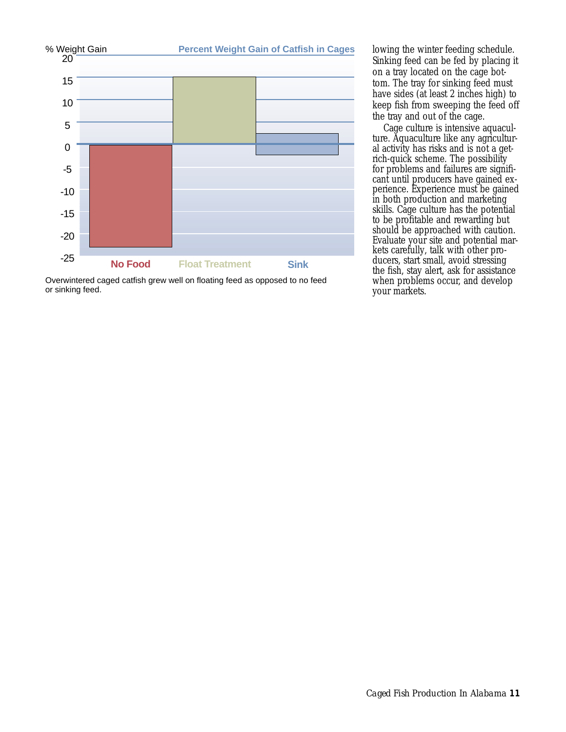

Overwintered caged catfish grew well on floating feed as opposed to no feed or sinking feed.

lowing the winter feeding schedule. Sinking feed can be fed by placing it on a tray located on the cage bottom. The tray for sinking feed must have sides (at least 2 inches high) to keep fish from sweeping the feed off the tray and out of the cage.

Cage culture is intensive aquaculture. Aquaculture like any agricultural activity has risks and is not a getrich-quick scheme. The possibility for problems and failures are significant until producers have gained experience. Experience must be gained in both production and marketing skills. Cage culture has the potential to be profitable and rewarding but should be approached with caution. Evaluate your site and potential markets carefully, talk with other producers, start small, avoid stressing the fish, stay alert, ask for assistance when problems occur, and develop your markets.